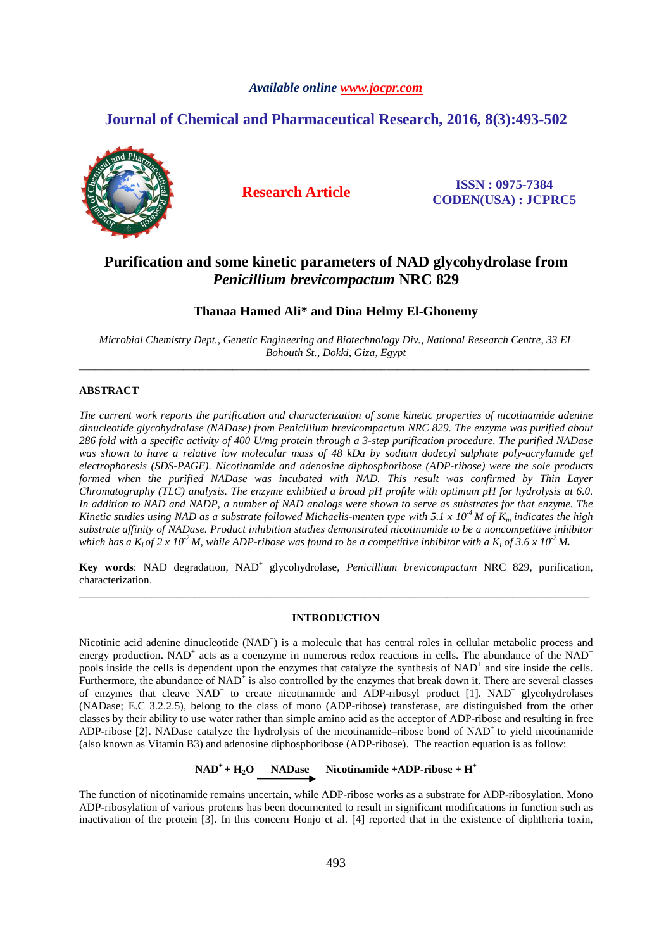## *Available online www.jocpr.com*

# **Journal of Chemical and Pharmaceutical Research, 2016, 8(3):493-502**



**Research Article ISSN : 0975-7384 CODEN(USA) : JCPRC5**

# **Purification and some kinetic parameters of NAD glycohydrolase from**  *Penicillium brevicompactum* **NRC 829**

# **Thanaa Hamed Ali\* and Dina Helmy El-Ghonemy**

*Microbial Chemistry Dept., Genetic Engineering and Biotechnology Div., National Research Centre, 33 EL Bohouth St., Dokki, Giza, Egypt*  \_\_\_\_\_\_\_\_\_\_\_\_\_\_\_\_\_\_\_\_\_\_\_\_\_\_\_\_\_\_\_\_\_\_\_\_\_\_\_\_\_\_\_\_\_\_\_\_\_\_\_\_\_\_\_\_\_\_\_\_\_\_\_\_\_\_\_\_\_\_\_\_\_\_\_\_\_\_\_\_\_\_\_\_\_\_\_\_\_\_\_\_\_

# **ABSTRACT**

*The current work reports the purification and characterization of some kinetic properties of nicotinamide adenine dinucleotide glycohydrolase (NADase) from Penicillium brevicompactum NRC 829. The enzyme was purified about 286 fold with a specific activity of 400 U/mg protein through a 3-step purification procedure. The purified NADase*  was shown to have a relative low molecular mass of 48 kDa by sodium dodecyl sulphate poly-acrylamide gel *electrophoresis (SDS-PAGE). Nicotinamide and adenosine diphosphoribose (ADP-ribose) were the sole products formed when the purified NADase was incubated with NAD. This result was confirmed by Thin Layer Chromatography (TLC) analysis. The enzyme exhibited a broad pH profile with optimum pH for hydrolysis at 6.0. In addition to NAD and NADP, a number of NAD analogs were shown to serve as substrates for that enzyme. The Kinetic studies using NAD as a substrate followed Michaelis-menten type with 5.1 x*  $10<sup>-4</sup>$  *M of K<sub><i>m</sub>* indicates the high</sub> *substrate affinity of NADase. Product inhibition studies demonstrated nicotinamide to be a noncompetitive inhibitor which has a*  $K_i$  *of* 2 x 10<sup>-2</sup> M, while ADP-ribose was found to be a competitive inhibitor with a  $K_i$  of 3.6 x 10<sup>-2</sup> M.

Key words: NAD degradation, NAD<sup>+</sup> glycohydrolase, *Penicillium brevicompactum* NRC 829, purification, characterization. \_\_\_\_\_\_\_\_\_\_\_\_\_\_\_\_\_\_\_\_\_\_\_\_\_\_\_\_\_\_\_\_\_\_\_\_\_\_\_\_\_\_\_\_\_\_\_\_\_\_\_\_\_\_\_\_\_\_\_\_\_\_\_\_\_\_\_\_\_\_\_\_\_\_\_\_\_\_\_\_\_\_\_\_\_\_\_\_\_\_\_\_\_

### **INTRODUCTION**

Nicotinic acid adenine dinucleotide (NAD<sup>+</sup>) is a molecule that has central roles in cellular metabolic process and energy production. NAD<sup>+</sup> acts as a coenzyme in numerous redox reactions in cells. The abundance of the NAD<sup>+</sup> pools inside the cells is dependent upon the enzymes that catalyze the synthesis of NAD<sup>+</sup> and site inside the cells. Furthermore, the abundance of  $NAD^{\dagger}$  is also controlled by the enzymes that break down it. There are several classes of enzymes that cleave NAD<sup>+</sup> to create nicotinamide and ADP-ribosyl product [1]. NAD<sup>+</sup> glycohydrolases (NADase; E.C 3.2.2.5), belong to the class of mono (ADP-ribose) transferase, are distinguished from the other classes by their ability to use water rather than simple amino acid as the acceptor of ADP-ribose and resulting in free ADP-ribose [2]. NADase catalyze the hydrolysis of the nicotinamide–ribose bond of NAD<sup>+</sup> to yield nicotinamide (also known as Vitamin B3) and adenosine diphosphoribose (ADP-ribose). The reaction equation is as follow:

**NAD<sup>+</sup>+ H2O NADase Nicotinamide +ADP-ribose + H<sup>+</sup>**

The function of nicotinamide remains uncertain, while ADP-ribose works as a substrate for ADP-ribosylation. Mono ADP-ribosylation of various proteins has been documented to result in significant modifications in function such as inactivation of the protein [3]. In this concern Honjo et al. [4] reported that in the existence of diphtheria toxin,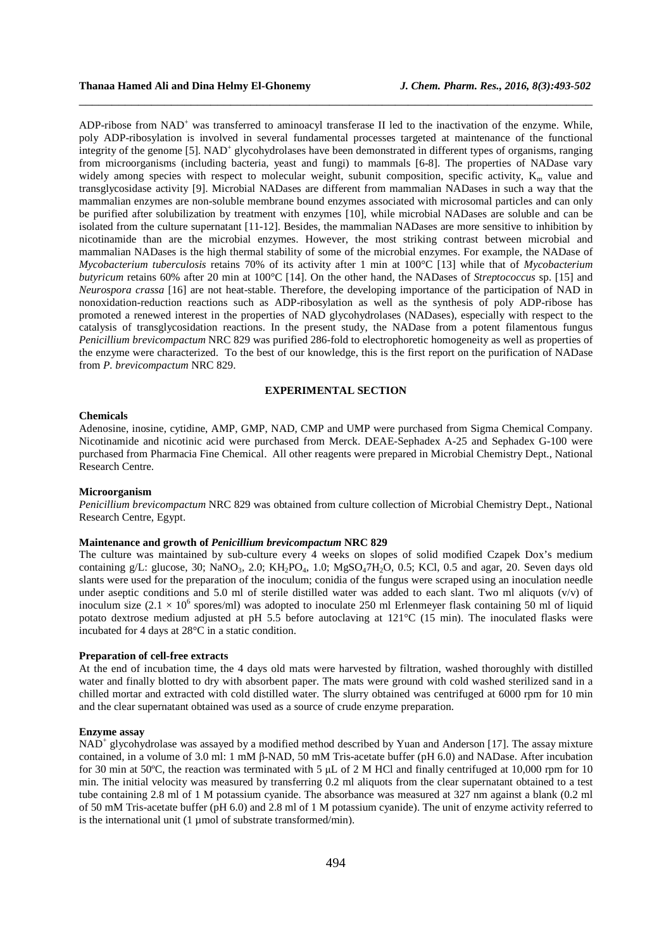ADP-ribose from NAD<sup>+</sup> was transferred to aminoacyl transferase II led to the inactivation of the enzyme. While, poly ADP-ribosylation is involved in several fundamental processes targeted at maintenance of the functional integrity of the genome [5].  $NAD^+$  glycohydrolases have been demonstrated in different types of organisms, ranging from microorganisms (including bacteria, yeast and fungi) to mammals [6-8]. The properties of NADase vary widely among species with respect to molecular weight, subunit composition, specific activity,  $K_m$  value and transglycosidase activity [9]. Microbial NADases are different from mammalian NADases in such a way that the mammalian enzymes are non-soluble membrane bound enzymes associated with microsomal particles and can only be purified after solubilization by treatment with enzymes [10], while microbial NADases are soluble and can be isolated from the culture supernatant [11-12]. Besides, the mammalian NADases are more sensitive to inhibition by nicotinamide than are the microbial enzymes. However, the most striking contrast between microbial and mammalian NADases is the high thermal stability of some of the microbial enzymes. For example, the NADase of *Mycobacterium tuberculosis* retains 70% of its activity after 1 min at 100°C [13] while that of *Mycobacterium butyricum* retains 60% after 20 min at 100°C [14]. On the other hand, the NADases of *Streptococcus* sp. [15] and *Neurospora crassa* [16] are not heat-stable. Therefore, the developing importance of the participation of NAD in nonoxidation-reduction reactions such as ADP-ribosylation as well as the synthesis of poly ADP-ribose has promoted a renewed interest in the properties of NAD glycohydrolases (NADases), especially with respect to the catalysis of transglycosidation reactions. In the present study, the NADase from a potent filamentous fungus *Penicillium brevicompactum* NRC 829 was purified 286-fold to electrophoretic homogeneity as well as properties of the enzyme were characterized. To the best of our knowledge, this is the first report on the purification of NADase from *P. brevicompactum* NRC 829.

\_\_\_\_\_\_\_\_\_\_\_\_\_\_\_\_\_\_\_\_\_\_\_\_\_\_\_\_\_\_\_\_\_\_\_\_\_\_\_\_\_\_\_\_\_\_\_\_\_\_\_\_\_\_\_\_\_\_\_\_\_\_\_\_\_\_\_\_\_\_\_\_\_\_\_\_\_\_

## **EXPERIMENTAL SECTION**

### **Chemicals**

Adenosine, inosine, cytidine, AMP, GMP, NAD, CMP and UMP were purchased from Sigma Chemical Company. Nicotinamide and nicotinic acid were purchased from Merck. DEAE-Sephadex A-25 and Sephadex G-100 were purchased from Pharmacia Fine Chemical. All other reagents were prepared in Microbial Chemistry Dept., National Research Centre.

### **Microorganism**

*Penicillium brevicompactum* NRC 829 was obtained from culture collection of Microbial Chemistry Dept., National Research Centre, Egypt.

#### **Maintenance and growth of** *Penicillium brevicompactum* **NRC 829**

The culture was maintained by sub-culture every 4 weeks on slopes of solid modified Czapek Dox's medium containing g/L: glucose, 30; NaNO<sub>3</sub>, 2.0; KH<sub>2</sub>PO<sub>4</sub>, 1.0; MgSO<sub>4</sub>7H<sub>2</sub>O, 0.5; KCl, 0.5 and agar, 20. Seven days old slants were used for the preparation of the inoculum; conidia of the fungus were scraped using an inoculation needle under aseptic conditions and 5.0 ml of sterile distilled water was added to each slant. Two ml aliquots  $(v/v)$  of inoculum size  $(2.1 \times 10^6$  spores/ml) was adopted to inoculate 250 ml Erlenmeyer flask containing 50 ml of liquid potato dextrose medium adjusted at pH 5.5 before autoclaving at 121°C (15 min). The inoculated flasks were incubated for 4 days at 28°C in a static condition.

### **Preparation of cell-free extracts**

At the end of incubation time, the 4 days old mats were harvested by filtration, washed thoroughly with distilled water and finally blotted to dry with absorbent paper. The mats were ground with cold washed sterilized sand in a chilled mortar and extracted with cold distilled water. The slurry obtained was centrifuged at 6000 rpm for 10 min and the clear supernatant obtained was used as a source of crude enzyme preparation.

#### **Enzyme assay**

NAD<sup>+</sup> glycohydrolase was assayed by a modified method described by Yuan and Anderson [17]. The assay mixture contained, in a volume of 3.0 ml: 1 mM β-NAD, 50 mM Tris-acetate buffer (pH 6.0) and NADase. After incubation for 30 min at 50°C, the reaction was terminated with 5  $\mu$ L of 2 M HCl and finally centrifuged at 10,000 rpm for 10 min. The initial velocity was measured by transferring 0.2 ml aliquots from the clear supernatant obtained to a test tube containing 2.8 ml of 1 M potassium cyanide. The absorbance was measured at 327 nm against a blank (0.2 ml of 50 mM Tris-acetate buffer (pH 6.0) and 2.8 ml of 1 M potassium cyanide). The unit of enzyme activity referred to is the international unit (1 µmol of substrate transformed/min).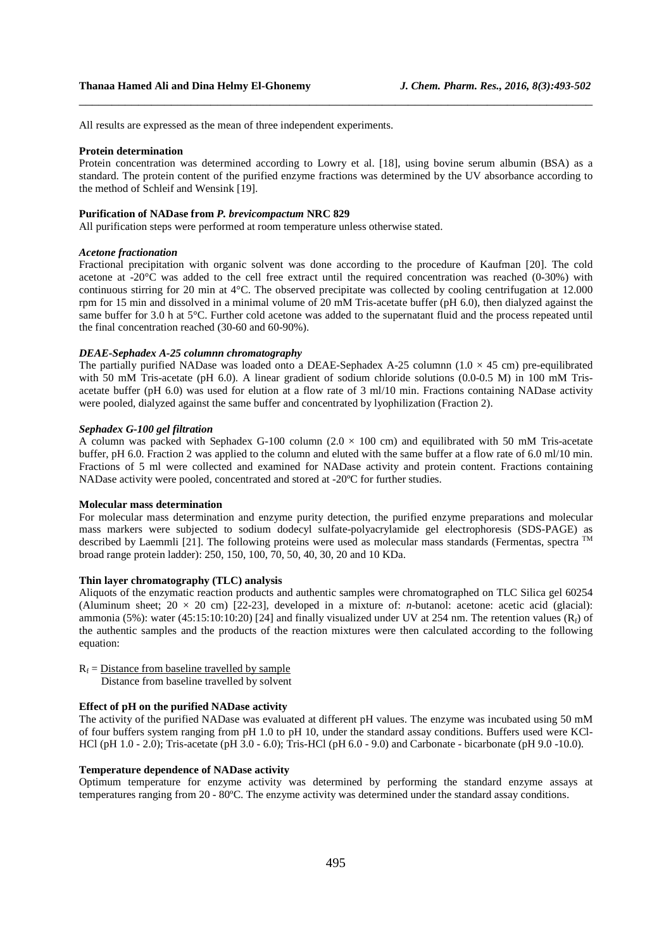All results are expressed as the mean of three independent experiments.

#### **Protein determination**

Protein concentration was determined according to Lowry et al. [18], using bovine serum albumin (BSA) as a standard. The protein content of the purified enzyme fractions was determined by the UV absorbance according to the method of Schleif and Wensink [19].

\_\_\_\_\_\_\_\_\_\_\_\_\_\_\_\_\_\_\_\_\_\_\_\_\_\_\_\_\_\_\_\_\_\_\_\_\_\_\_\_\_\_\_\_\_\_\_\_\_\_\_\_\_\_\_\_\_\_\_\_\_\_\_\_\_\_\_\_\_\_\_\_\_\_\_\_\_\_

#### **Purification of NADase from** *P. brevicompactum* **NRC 829**

All purification steps were performed at room temperature unless otherwise stated.

#### *Acetone fractionation*

Fractional precipitation with organic solvent was done according to the procedure of Kaufman [20]. The cold acetone at -20°C was added to the cell free extract until the required concentration was reached (0-30%) with continuous stirring for 20 min at 4°C. The observed precipitate was collected by cooling centrifugation at 12.000 rpm for 15 min and dissolved in a minimal volume of 20 mM Tris-acetate buffer (pH 6.0), then dialyzed against the same buffer for 3.0 h at 5°C. Further cold acetone was added to the supernatant fluid and the process repeated until the final concentration reached (30-60 and 60-90%).

#### *DEAE-Sephadex A-25 columnn chromatography*

The partially purified NADase was loaded onto a DEAE-Sephadex A-25 columnn  $(1.0 \times 45 \text{ cm})$  pre-equilibrated with 50 mM Tris-acetate (pH 6.0). A linear gradient of sodium chloride solutions (0.0-0.5 M) in 100 mM Trisacetate buffer (pH 6.0) was used for elution at a flow rate of 3 ml/10 min. Fractions containing NADase activity were pooled, dialyzed against the same buffer and concentrated by lyophilization (Fraction 2).

#### *Sephadex G-100 gel filtration*

A column was packed with Sephadex G-100 column  $(2.0 \times 100 \text{ cm})$  and equilibrated with 50 mM Tris-acetate buffer, pH 6.0. Fraction 2 was applied to the column and eluted with the same buffer at a flow rate of 6.0 ml/10 min. Fractions of 5 ml were collected and examined for NADase activity and protein content. Fractions containing NADase activity were pooled, concentrated and stored at -20ºC for further studies.

### **Molecular mass determination**

For molecular mass determination and enzyme purity detection, the purified enzyme preparations and molecular mass markers were subjected to sodium dodecyl sulfate-polyacrylamide gel electrophoresis (SDS-PAGE) as described by Laemmli [21]. The following proteins were used as molecular mass standards (Fermentas, spectra TM broad range protein ladder): 250, 150, 100, 70, 50, 40, 30, 20 and 10 KDa.

### **Thin layer chromatography (TLC) analysis**

Aliquots of the enzymatic reaction products and authentic samples were chromatographed on TLC Silica gel 60254 (Aluminum sheet;  $20 \times 20$  cm) [22-23], developed in a mixture of: *n*-butanol: acetone: acetic acid (glacial): ammonia (5%): water (45:15:10:10:20) [24] and finally visualized under UV at 254 nm. The retention values ( $R_f$ ) of the authentic samples and the products of the reaction mixtures were then calculated according to the following equation:

- $R_f$  = Distance from baseline travelled by sample
	- Distance from baseline travelled by solvent

#### **Effect of pH on the purified NADase activity**

The activity of the purified NADase was evaluated at different pH values. The enzyme was incubated using 50 mM of four buffers system ranging from pH 1.0 to pH 10, under the standard assay conditions. Buffers used were KCl-HCl (pH 1.0 - 2.0); Tris-acetate (pH 3.0 - 6.0); Tris-HCl (pH 6.0 - 9.0) and Carbonate - bicarbonate (pH 9.0 -10.0).

#### **Temperature dependence of NADase activity**

Optimum temperature for enzyme activity was determined by performing the standard enzyme assays at temperatures ranging from 20 - 80ºC. The enzyme activity was determined under the standard assay conditions.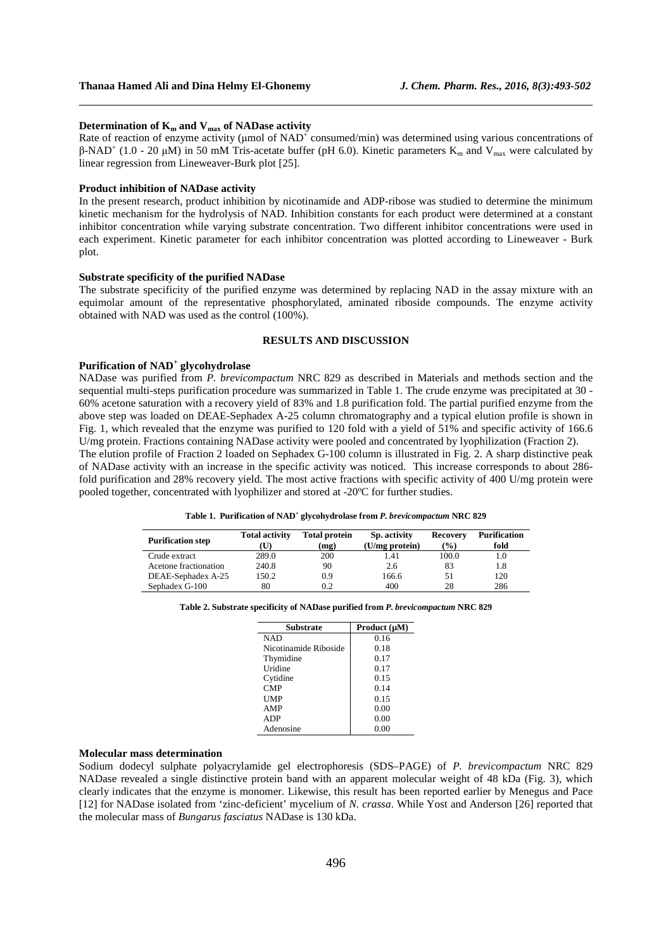#### **Determination of**  $K_m$  **and**  $V_{max}$  **of NADase activity**

Rate of reaction of enzyme activity ( $\mu$ mol of NAD<sup>+</sup> consumed/min) was determined using various concentrations of β-NAD<sup>+</sup> (1.0 - 20 μM) in 50 mM Tris-acetate buffer (pH 6.0). Kinetic parameters K<sub>m</sub> and V<sub>max</sub> were calculated by linear regression from Lineweaver-Burk plot [25].

\_\_\_\_\_\_\_\_\_\_\_\_\_\_\_\_\_\_\_\_\_\_\_\_\_\_\_\_\_\_\_\_\_\_\_\_\_\_\_\_\_\_\_\_\_\_\_\_\_\_\_\_\_\_\_\_\_\_\_\_\_\_\_\_\_\_\_\_\_\_\_\_\_\_\_\_\_\_

#### **Product inhibition of NADase activity**

In the present research, product inhibition by nicotinamide and ADP-ribose was studied to determine the minimum kinetic mechanism for the hydrolysis of NAD. Inhibition constants for each product were determined at a constant inhibitor concentration while varying substrate concentration. Two different inhibitor concentrations were used in each experiment. Kinetic parameter for each inhibitor concentration was plotted according to Lineweaver - Burk plot.

#### **Substrate specificity of the purified NADase**

The substrate specificity of the purified enzyme was determined by replacing NAD in the assay mixture with an equimolar amount of the representative phosphorylated, aminated riboside compounds. The enzyme activity obtained with NAD was used as the control (100%).

### **RESULTS AND DISCUSSION**

# **Purification of NAD<sup>+</sup> glycohydrolase**

NADase was purified from *P. brevicompactum* NRC 829 as described in Materials and methods section and the sequential multi-steps purification procedure was summarized in Table 1. The crude enzyme was precipitated at 30 - 60% acetone saturation with a recovery yield of 83% and 1.8 purification fold. The partial purified enzyme from the above step was loaded on DEAE-Sephadex A-25 column chromatography and a typical elution profile is shown in Fig. 1, which revealed that the enzyme was purified to 120 fold with a yield of 51% and specific activity of 166.6 U/mg protein. Fractions containing NADase activity were pooled and concentrated by lyophilization (Fraction 2). The elution profile of Fraction 2 loaded on Sephadex G-100 column is illustrated in Fig. 2. A sharp distinctive peak

of NADase activity with an increase in the specific activity was noticed. This increase corresponds to about 286 fold purification and 28% recovery yield. The most active fractions with specific activity of 400 U/mg protein were pooled together, concentrated with lyophilizer and stored at -20ºC for further studies.

|  | Table 1. Purification of NAD <sup>+</sup> glycohydrolase from P. brevicompactum NRC 829 |  |
|--|-----------------------------------------------------------------------------------------|--|
|--|-----------------------------------------------------------------------------------------|--|

| <b>Purification step</b> | <b>Total activity</b><br>(U) | <b>Total protein</b><br>(mg) | Sp. activity<br>(U/mg protein) | <b>Recovery</b><br>$\frac{1}{2}$ | <b>Purification</b><br>fold |
|--------------------------|------------------------------|------------------------------|--------------------------------|----------------------------------|-----------------------------|
| Crude extract            | 289.0                        | 200                          | 1.41                           | 100.0                            | 1.0                         |
| Acetone fractionation    | 240.8                        | 90                           | 2.6                            | 83                               | 1.8                         |
| DEAE-Sephadex A-25       | 150.2                        | 0.9                          | 166.6                          | 51                               | 120                         |
| Sephadex G-100           | 80                           | 0.2                          | 400                            | 28                               | 286                         |

#### **Table 2. Substrate specificity of NADase purified from** *P. brevicompactum* **NRC 829**

| <b>Substrate</b>      | Product $(\mu M)$ |  |  |
|-----------------------|-------------------|--|--|
| <b>NAD</b>            | 0.16              |  |  |
| Nicotinamide Riboside | 0.18              |  |  |
| Thymidine             | 0.17              |  |  |
| Uridine               | 0.17              |  |  |
| Cytidine              | 0.15              |  |  |
| <b>CMP</b>            | 0.14              |  |  |
| UMP                   | 0.15              |  |  |
| AMP                   | 0.00              |  |  |
| <b>ADP</b>            | 0.00              |  |  |
| Adenosine             | 0.00              |  |  |

### **Molecular mass determination**

Sodium dodecyl sulphate polyacrylamide gel electrophoresis (SDS–PAGE) of *P. brevicompactum* NRC 829 NADase revealed a single distinctive protein band with an apparent molecular weight of 48 kDa (Fig. 3), which clearly indicates that the enzyme is monomer. Likewise, this result has been reported earlier by Menegus and Pace [12] for NADase isolated from 'zinc-deficient' mycelium of *N. crassa*. While Yost and Anderson [26] reported that the molecular mass of *Bungarus fasciatus* NADase is 130 kDa.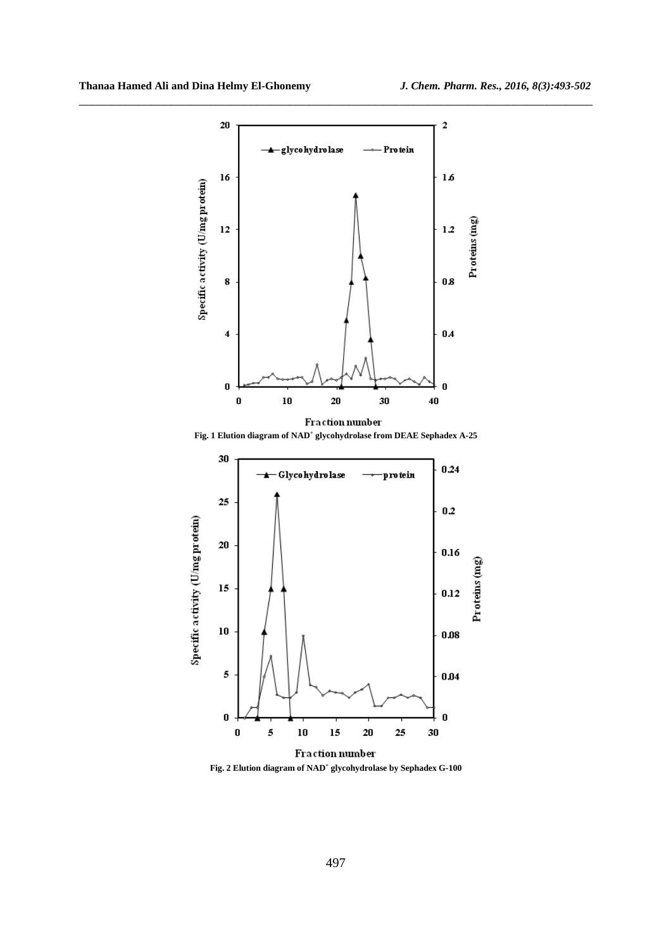

**Fig. 1 Elution diagram of NAD<sup>+</sup> glycohydrolase from DEAE Sephadex A-25**



**Fig. 2 Elution diagram of NAD<sup>+</sup> glycohydrolase by Sephadex G-100**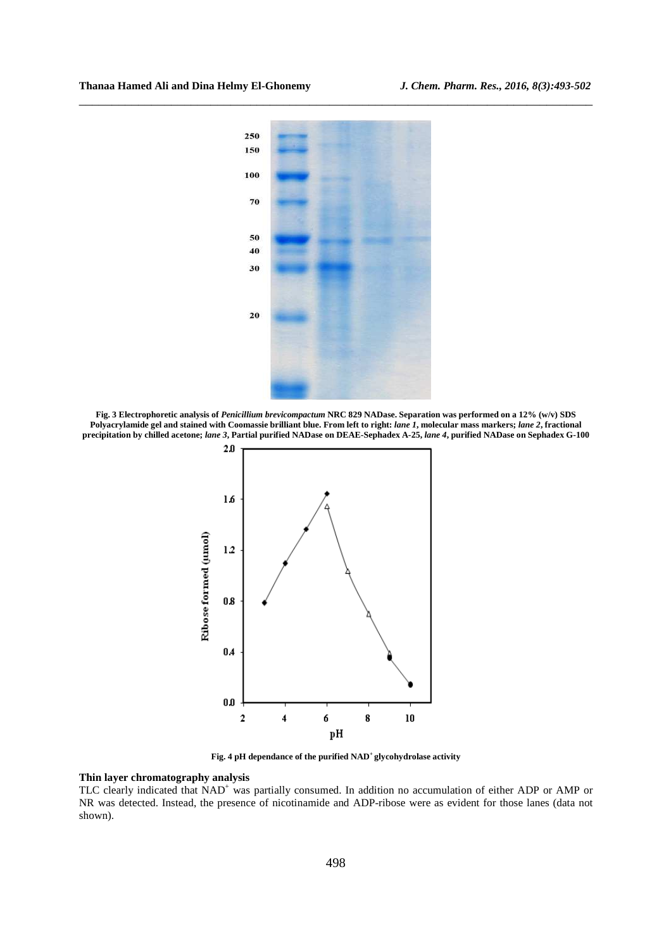

**Fig. 3 Electrophoretic analysis of** *Penicillium brevicompactum* **NRC 829 NADase. Separation was performed on a 12% (w/v) SDS Polyacrylamide gel and stained with Coomassie brilliant blue. From left to right:** *lane 1***, molecular mass markers;** *lane 2***, fractional precipitation by chilled acetone;** *lane 3***, Partial purified NADase on DEAE-Sephadex A-25,** *lane 4***, purified NADase on Sephadex G-100** 



**Fig. 4 pH dependance of the purified NAD<sup>+</sup>glycohydrolase activity** 

#### **Thin layer chromatography analysis**

TLC clearly indicated that NAD<sup>+</sup> was partially consumed. In addition no accumulation of either ADP or AMP or NR was detected. Instead, the presence of nicotinamide and ADP-ribose were as evident for those lanes (data not shown).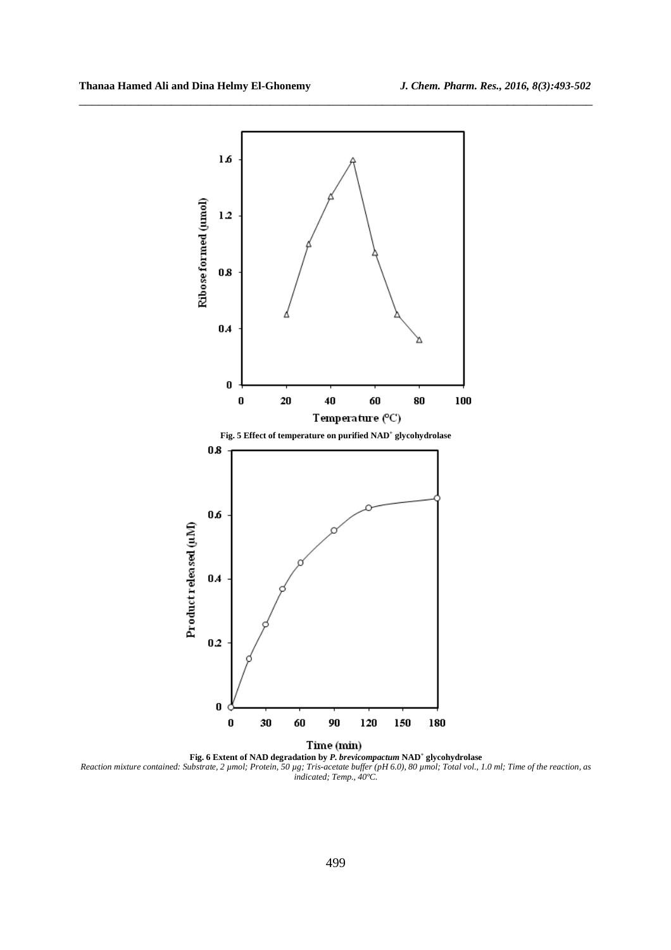

\_\_\_\_\_\_\_\_\_\_\_\_\_\_\_\_\_\_\_\_\_\_\_\_\_\_\_\_\_\_\_\_\_\_\_\_\_\_\_\_\_\_\_\_\_\_\_\_\_\_\_\_\_\_\_\_\_\_\_\_\_\_\_\_\_\_\_\_\_\_\_\_\_\_\_\_\_\_

**Fig. 6 Extent of NAD degradation by** *P. brevicompactum* **NAD<sup>+</sup> glycohydrolase**  *Reaction mixture contained: Substrate, 2 µmol; Protein, 50 µg; Tris-acetate buffer (pH 6.0), 80 µmol; Total vol., 1.0 ml; Time of the reaction, as indicated; Temp., 40ºC.*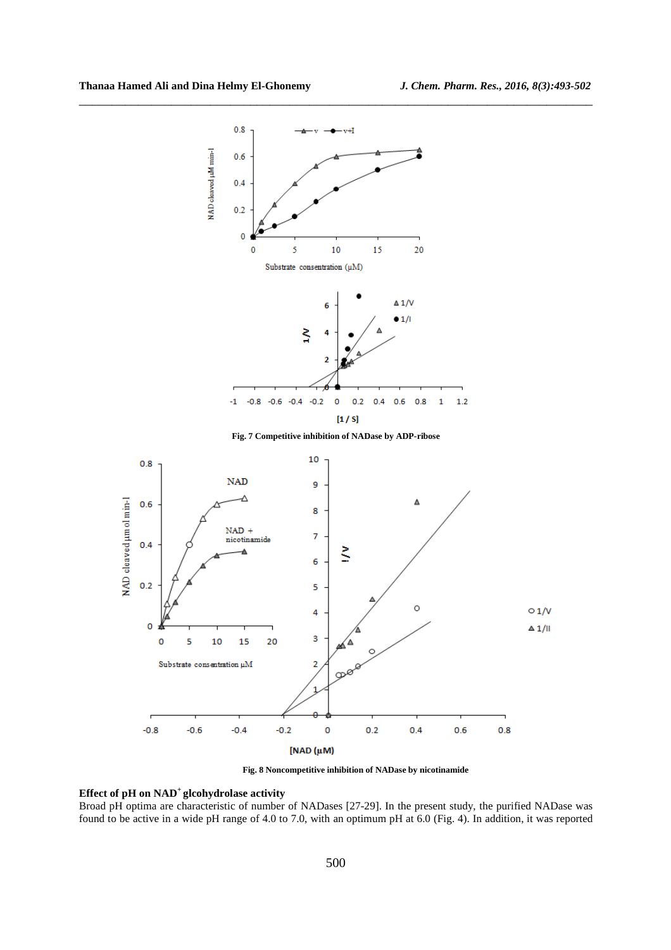

\_\_\_\_\_\_\_\_\_\_\_\_\_\_\_\_\_\_\_\_\_\_\_\_\_\_\_\_\_\_\_\_\_\_\_\_\_\_\_\_\_\_\_\_\_\_\_\_\_\_\_\_\_\_\_\_\_\_\_\_\_\_\_\_\_\_\_\_\_\_\_\_\_\_\_\_\_\_

**Fig. 8 Noncompetitive inhibition of NADase by nicotinamide** 

## **Effect of pH on NAD<sup>+</sup>glcohydrolase activity**

Broad pH optima are characteristic of number of NADases [27-29]. In the present study, the purified NADase was found to be active in a wide pH range of 4.0 to 7.0, with an optimum pH at 6.0 (Fig. 4). In addition, it was reported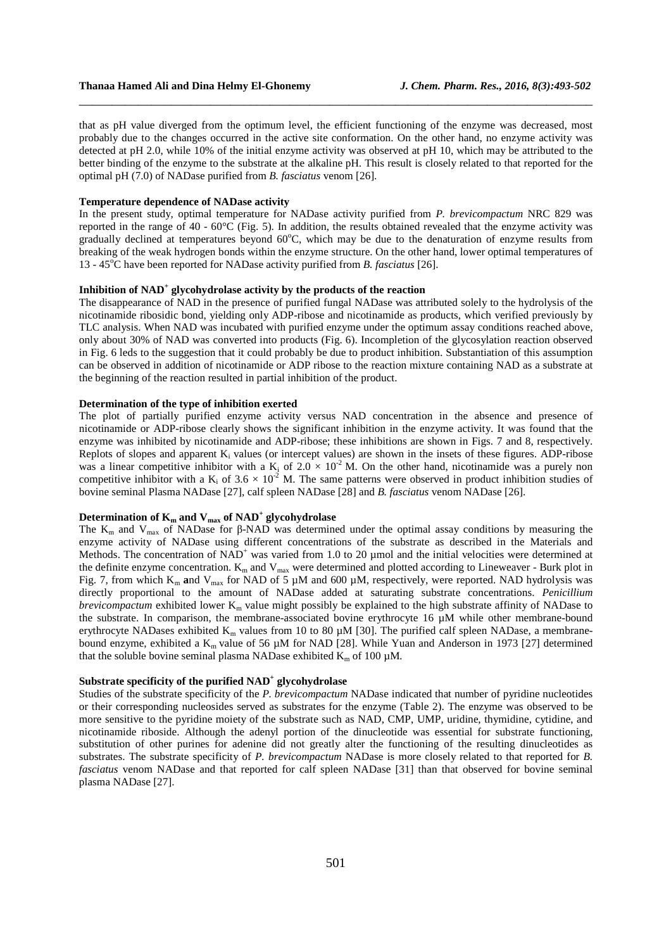that as pH value diverged from the optimum level, the efficient functioning of the enzyme was decreased, most probably due to the changes occurred in the active site conformation. On the other hand, no enzyme activity was detected at pH 2.0, while 10% of the initial enzyme activity was observed at pH 10, which may be attributed to the better binding of the enzyme to the substrate at the alkaline pH. This result is closely related to that reported for the optimal pH (7.0) of NADase purified from *B. fasciatus* venom [26].

\_\_\_\_\_\_\_\_\_\_\_\_\_\_\_\_\_\_\_\_\_\_\_\_\_\_\_\_\_\_\_\_\_\_\_\_\_\_\_\_\_\_\_\_\_\_\_\_\_\_\_\_\_\_\_\_\_\_\_\_\_\_\_\_\_\_\_\_\_\_\_\_\_\_\_\_\_\_

#### **Temperature dependence of NADase activity**

In the present study, optimal temperature for NADase activity purified from *P. brevicompactum* NRC 829 was reported in the range of 40 - 60°C (Fig. 5). In addition, the results obtained revealed that the enzyme activity was gradually declined at temperatures beyond 60°C, which may be due to the denaturation of enzyme results from breaking of the weak hydrogen bonds within the enzyme structure. On the other hand, lower optimal temperatures of 13 - 45<sup>o</sup>C have been reported for NADase activity purified from *B. fasciatus* [26].

# **Inhibition of NAD<sup>+</sup> glycohydrolase activity by the products of the reaction**

The disappearance of NAD in the presence of purified fungal NADase was attributed solely to the hydrolysis of the nicotinamide ribosidic bond, yielding only ADP-ribose and nicotinamide as products, which verified previously by TLC analysis. When NAD was incubated with purified enzyme under the optimum assay conditions reached above, only about 30% of NAD was converted into products (Fig. 6). Incompletion of the glycosylation reaction observed in Fig. 6 leds to the suggestion that it could probably be due to product inhibition. Substantiation of this assumption can be observed in addition of nicotinamide or ADP ribose to the reaction mixture containing NAD as a substrate at the beginning of the reaction resulted in partial inhibition of the product.

### **Determination of the type of inhibition exerted**

The plot of partially purified enzyme activity versus NAD concentration in the absence and presence of nicotinamide or ADP-ribose clearly shows the significant inhibition in the enzyme activity. It was found that the enzyme was inhibited by nicotinamide and ADP-ribose; these inhibitions are shown in Figs. 7 and 8, respectively. Replots of slopes and apparent  $K_i$  values (or intercept values) are shown in the insets of these figures. ADP-ribose was a linear competitive inhibitor with a  $K_i$  of  $2.0 \times 10^{-2}$  M. On the other hand, nicotinamide was a purely non competitive inhibitor with a  $K_i$  of 3.6  $\times$  10<sup>-2</sup> M. The same patterns were observed in product inhibition studies of bovine seminal Plasma NADase [27], calf spleen NADase [28] and *B. fasciatus* venom NADase [26].

# **Determination of Km and Vmax of NAD<sup>+</sup> glycohydrolase**

The  $K_m$  and  $V_{max}$  of NADase for β-NAD was determined under the optimal assay conditions by measuring the enzyme activity of NADase using different concentrations of the substrate as described in the Materials and Methods. The concentration of  $NAD<sup>+</sup>$  was varied from 1.0 to 20 µmol and the initial velocities were determined at the definite enzyme concentration.  $K_m$  and  $V_{max}$  were determined and plotted according to Lineweaver - Burk plot in Fig. 7, from which K<sub>m</sub> and V<sub>max</sub> for NAD of 5  $\mu$ M and 600  $\mu$ M, respectively, were reported. NAD hydrolysis was directly proportional to the amount of NADase added at saturating substrate concentrations. *Penicillium brevicompactum* exhibited lower  $K_m$  value might possibly be explained to the high substrate affinity of NADase to the substrate. In comparison, the membrane-associated bovine erythrocyte 16 µM while other membrane-bound erythrocyte NADases exhibited  $K_m$  values from 10 to 80  $\mu$ M [30]. The purified calf spleen NADase, a membranebound enzyme, exhibited a  $K_m$  value of 56  $\mu$ M for NAD [28]. While Yuan and Anderson in 1973 [27] determined that the soluble bovine seminal plasma NADase exhibited  $K_m$  of 100  $\mu$ M.

# **Substrate specificity of the purified NAD<sup>+</sup> glycohydrolase**

Studies of the substrate specificity of the *P. brevicompactum* NADase indicated that number of pyridine nucleotides or their corresponding nucleosides served as substrates for the enzyme (Table 2). The enzyme was observed to be more sensitive to the pyridine moiety of the substrate such as NAD, CMP, UMP, uridine, thymidine, cytidine, and nicotinamide riboside. Although the adenyl portion of the dinucleotide was essential for substrate functioning, substitution of other purines for adenine did not greatly alter the functioning of the resulting dinucleotides as substrates. The substrate specificity of *P. brevicompactum* NADase is more closely related to that reported for *B. fasciatus* venom NADase and that reported for calf spleen NADase [31] than that observed for bovine seminal plasma NADase [27].